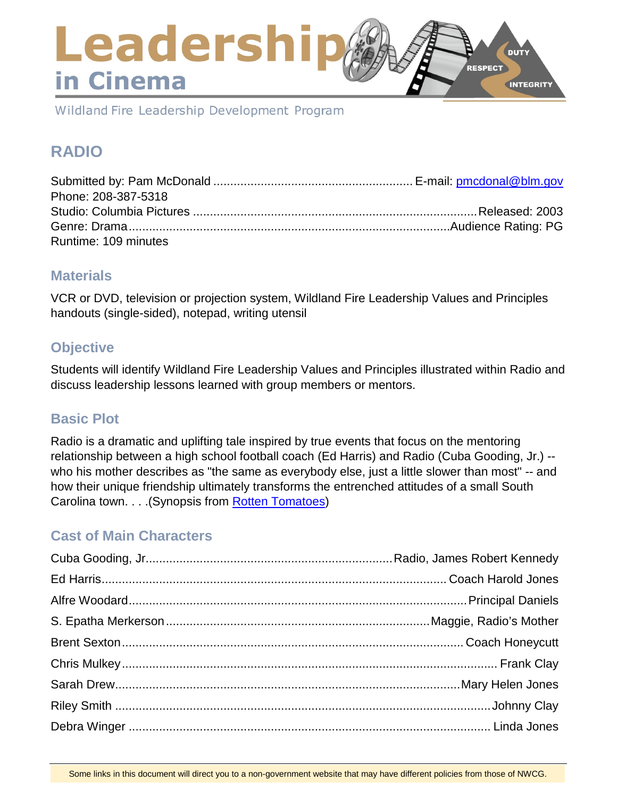### Leadershi **DUTY RESPECT** in Cinema **INTEGRITY**

Wildland Fire Leadership Development Program

# **RADIO**

| Phone: 208-387-5318  |  |
|----------------------|--|
|                      |  |
|                      |  |
| Runtime: 109 minutes |  |

### **Materials**

VCR or DVD, television or projection system, Wildland Fire Leadership Values and Principles handouts (single-sided), notepad, writing utensil

### **Objective**

Students will identify Wildland Fire Leadership Values and Principles illustrated within Radio and discuss leadership lessons learned with group members or mentors.

### **Basic Plot**

Radio is a dramatic and uplifting tale inspired by true events that focus on the mentoring relationship between a high school football coach (Ed Harris) and Radio (Cuba Gooding, Jr.) - who his mother describes as "the same as everybody else, just a little slower than most" -- and how their unique friendship ultimately transforms the entrenched attitudes of a small South Carolina town. . . . (Synopsis from [Rotten Tomatoes\)](https://www.rottentomatoes.com/)

### **Cast of Main Characters**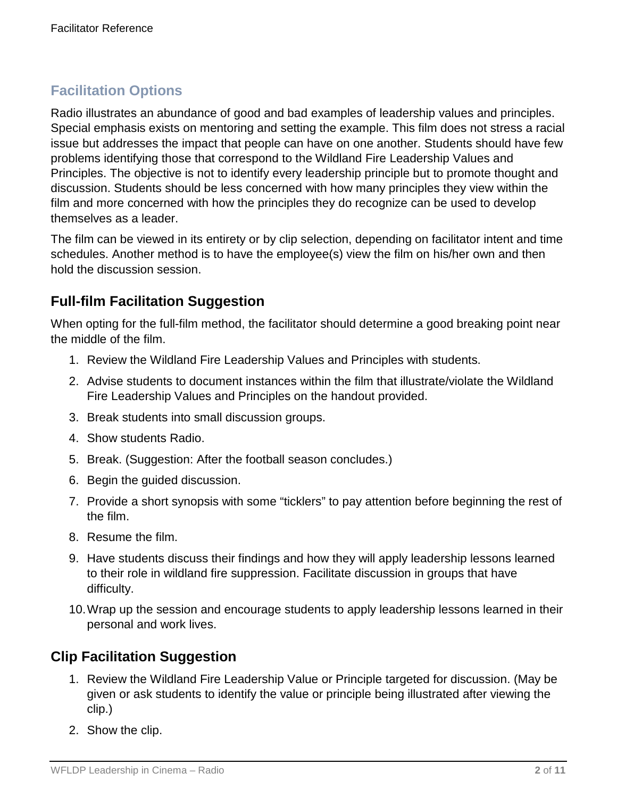# **Facilitation Options**

Radio illustrates an abundance of good and bad examples of leadership values and principles. Special emphasis exists on mentoring and setting the example. This film does not stress a racial issue but addresses the impact that people can have on one another. Students should have few problems identifying those that correspond to the Wildland Fire Leadership Values and Principles. The objective is not to identify every leadership principle but to promote thought and discussion. Students should be less concerned with how many principles they view within the film and more concerned with how the principles they do recognize can be used to develop themselves as a leader.

The film can be viewed in its entirety or by clip selection, depending on facilitator intent and time schedules. Another method is to have the employee(s) view the film on his/her own and then hold the discussion session.

## **Full-film Facilitation Suggestion**

When opting for the full-film method, the facilitator should determine a good breaking point near the middle of the film.

- 1. Review the Wildland Fire Leadership Values and Principles with students.
- 2. Advise students to document instances within the film that illustrate/violate the Wildland Fire Leadership Values and Principles on the handout provided.
- 3. Break students into small discussion groups.
- 4. Show students Radio.
- 5. Break. (Suggestion: After the football season concludes.)
- 6. Begin the guided discussion.
- 7. Provide a short synopsis with some "ticklers" to pay attention before beginning the rest of the film.
- 8. Resume the film.
- 9. Have students discuss their findings and how they will apply leadership lessons learned to their role in wildland fire suppression. Facilitate discussion in groups that have difficulty.
- 10.Wrap up the session and encourage students to apply leadership lessons learned in their personal and work lives.

### **Clip Facilitation Suggestion**

- 1. Review the Wildland Fire Leadership Value or Principle targeted for discussion. (May be given or ask students to identify the value or principle being illustrated after viewing the clip.)
- 2. Show the clip.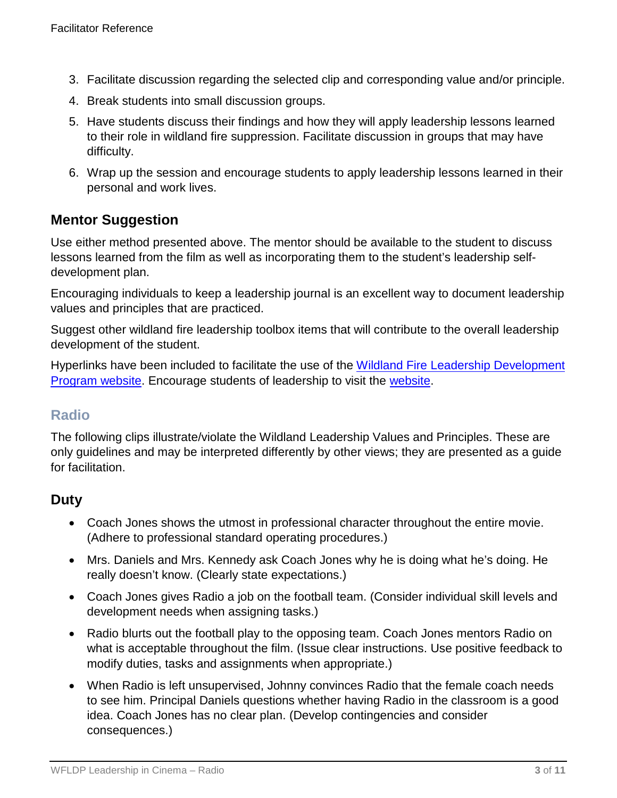- 3. Facilitate discussion regarding the selected clip and corresponding value and/or principle.
- 4. Break students into small discussion groups.
- 5. Have students discuss their findings and how they will apply leadership lessons learned to their role in wildland fire suppression. Facilitate discussion in groups that may have difficulty.
- 6. Wrap up the session and encourage students to apply leadership lessons learned in their personal and work lives.

### **Mentor Suggestion**

Use either method presented above. The mentor should be available to the student to discuss lessons learned from the film as well as incorporating them to the student's leadership selfdevelopment plan.

Encouraging individuals to keep a leadership journal is an excellent way to document leadership values and principles that are practiced.

Suggest other wildland fire leadership toolbox items that will contribute to the overall leadership development of the student.

Hyperlinks have been included to facilitate the use of the [Wildland Fire Leadership Development](https://www.fireleadership.gov/)  [Program website.](https://www.fireleadership.gov/) Encourage students of leadership to visit the [website.](https://www.fireleadership.gov/)

### **Radio**

The following clips illustrate/violate the Wildland Leadership Values and Principles. These are only guidelines and may be interpreted differently by other views; they are presented as a guide for facilitation.

### **Duty**

- Coach Jones shows the utmost in professional character throughout the entire movie. (Adhere to professional standard operating procedures.)
- Mrs. Daniels and Mrs. Kennedy ask Coach Jones why he is doing what he's doing. He really doesn't know. (Clearly state expectations.)
- Coach Jones gives Radio a job on the football team. (Consider individual skill levels and development needs when assigning tasks.)
- Radio blurts out the football play to the opposing team. Coach Jones mentors Radio on what is acceptable throughout the film. (Issue clear instructions. Use positive feedback to modify duties, tasks and assignments when appropriate.)
- When Radio is left unsupervised, Johnny convinces Radio that the female coach needs to see him. Principal Daniels questions whether having Radio in the classroom is a good idea. Coach Jones has no clear plan. (Develop contingencies and consider consequences.)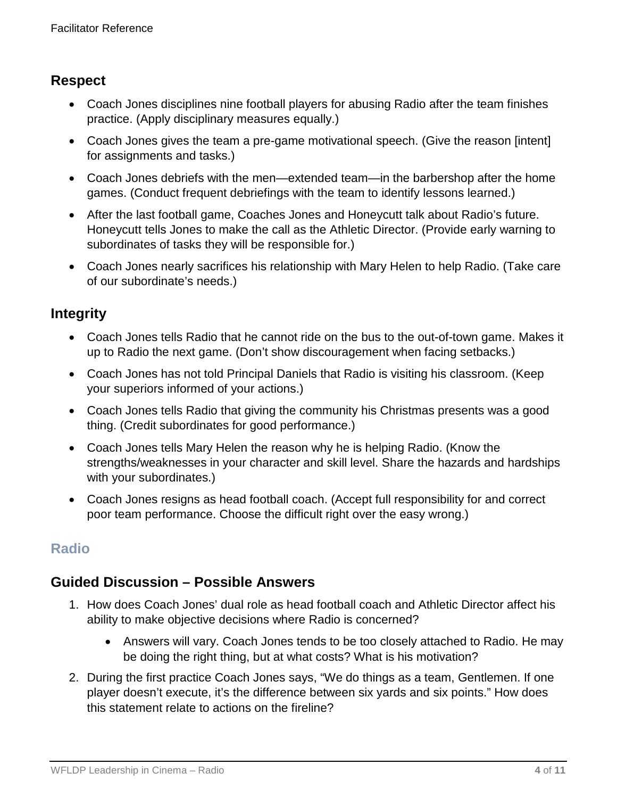### **Respect**

- Coach Jones disciplines nine football players for abusing Radio after the team finishes practice. (Apply disciplinary measures equally.)
- Coach Jones gives the team a pre-game motivational speech. (Give the reason [intent] for assignments and tasks.)
- Coach Jones debriefs with the men—extended team—in the barbershop after the home games. (Conduct frequent debriefings with the team to identify lessons learned.)
- After the last football game, Coaches Jones and Honeycutt talk about Radio's future. Honeycutt tells Jones to make the call as the Athletic Director. (Provide early warning to subordinates of tasks they will be responsible for.)
- Coach Jones nearly sacrifices his relationship with Mary Helen to help Radio. (Take care of our subordinate's needs.)

### **Integrity**

- Coach Jones tells Radio that he cannot ride on the bus to the out-of-town game. Makes it up to Radio the next game. (Don't show discouragement when facing setbacks.)
- Coach Jones has not told Principal Daniels that Radio is visiting his classroom. (Keep your superiors informed of your actions.)
- Coach Jones tells Radio that giving the community his Christmas presents was a good thing. (Credit subordinates for good performance.)
- Coach Jones tells Mary Helen the reason why he is helping Radio. (Know the strengths/weaknesses in your character and skill level. Share the hazards and hardships with your subordinates.)
- Coach Jones resigns as head football coach. (Accept full responsibility for and correct poor team performance. Choose the difficult right over the easy wrong.)

# **Radio**

### **Guided Discussion – Possible Answers**

- 1. How does Coach Jones' dual role as head football coach and Athletic Director affect his ability to make objective decisions where Radio is concerned?
	- Answers will vary. Coach Jones tends to be too closely attached to Radio. He may be doing the right thing, but at what costs? What is his motivation?
- 2. During the first practice Coach Jones says, "We do things as a team, Gentlemen. If one player doesn't execute, it's the difference between six yards and six points." How does this statement relate to actions on the fireline?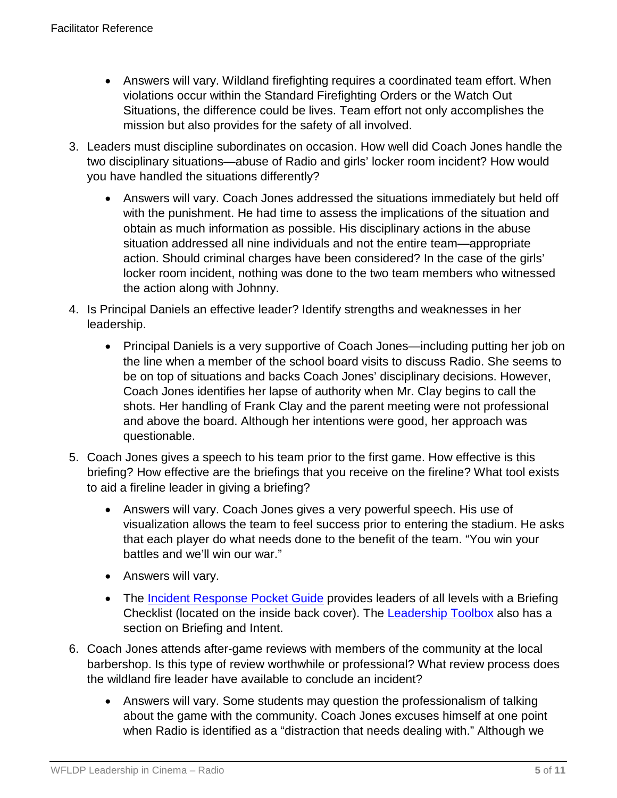- Answers will vary. Wildland firefighting requires a coordinated team effort. When violations occur within the Standard Firefighting Orders or the Watch Out Situations, the difference could be lives. Team effort not only accomplishes the mission but also provides for the safety of all involved.
- 3. Leaders must discipline subordinates on occasion. How well did Coach Jones handle the two disciplinary situations—abuse of Radio and girls' locker room incident? How would you have handled the situations differently?
	- Answers will vary. Coach Jones addressed the situations immediately but held off with the punishment. He had time to assess the implications of the situation and obtain as much information as possible. His disciplinary actions in the abuse situation addressed all nine individuals and not the entire team—appropriate action. Should criminal charges have been considered? In the case of the girls' locker room incident, nothing was done to the two team members who witnessed the action along with Johnny.
- 4. Is Principal Daniels an effective leader? Identify strengths and weaknesses in her leadership.
	- Principal Daniels is a very supportive of Coach Jones—including putting her job on the line when a member of the school board visits to discuss Radio. She seems to be on top of situations and backs Coach Jones' disciplinary decisions. However, Coach Jones identifies her lapse of authority when Mr. Clay begins to call the shots. Her handling of Frank Clay and the parent meeting were not professional and above the board. Although her intentions were good, her approach was questionable.
- 5. Coach Jones gives a speech to his team prior to the first game. How effective is this briefing? How effective are the briefings that you receive on the fireline? What tool exists to aid a fireline leader in giving a briefing?
	- Answers will vary. Coach Jones gives a very powerful speech. His use of visualization allows the team to feel success prior to entering the stadium. He asks that each player do what needs done to the benefit of the team. "You win your battles and we'll win our war."
	- Answers will vary.
	- The [Incident Response Pocket Guide](https://www.nwcg.gov/sites/default/files/publications/pms461.pdf) provides leaders of all levels with a Briefing Checklist (located on the inside back cover). The **Leadership Toolbox** also has a section on Briefing and Intent.
- 6. Coach Jones attends after-game reviews with members of the community at the local barbershop. Is this type of review worthwhile or professional? What review process does the wildland fire leader have available to conclude an incident?
	- Answers will vary. Some students may question the professionalism of talking about the game with the community. Coach Jones excuses himself at one point when Radio is identified as a "distraction that needs dealing with." Although we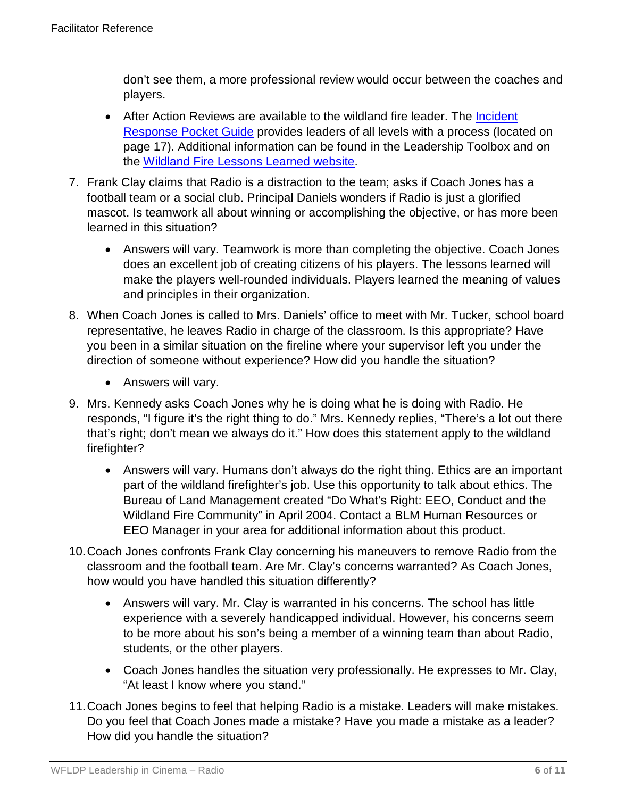don't see them, a more professional review would occur between the coaches and players.

- After Action Reviews are available to the wildland fire leader. The Incident [Response Pocket Guide](https://www.nwcg.gov/sites/default/files/publications/pms461.pdf) provides leaders of all levels with a process (located on page 17). Additional information can be found in the Leadership Toolbox and on the [Wildland Fire Lessons Learned website.](https://www.wildfirelessons.net/home)
- 7. Frank Clay claims that Radio is a distraction to the team; asks if Coach Jones has a football team or a social club. Principal Daniels wonders if Radio is just a glorified mascot. Is teamwork all about winning or accomplishing the objective, or has more been learned in this situation?
	- Answers will vary. Teamwork is more than completing the objective. Coach Jones does an excellent job of creating citizens of his players. The lessons learned will make the players well-rounded individuals. Players learned the meaning of values and principles in their organization.
- 8. When Coach Jones is called to Mrs. Daniels' office to meet with Mr. Tucker, school board representative, he leaves Radio in charge of the classroom. Is this appropriate? Have you been in a similar situation on the fireline where your supervisor left you under the direction of someone without experience? How did you handle the situation?
	- Answers will vary.
- 9. Mrs. Kennedy asks Coach Jones why he is doing what he is doing with Radio. He responds, "I figure it's the right thing to do." Mrs. Kennedy replies, "There's a lot out there that's right; don't mean we always do it." How does this statement apply to the wildland firefighter?
	- Answers will vary. Humans don't always do the right thing. Ethics are an important part of the wildland firefighter's job. Use this opportunity to talk about ethics. The Bureau of Land Management created "Do What's Right: EEO, Conduct and the Wildland Fire Community" in April 2004. Contact a BLM Human Resources or EEO Manager in your area for additional information about this product.
- 10.Coach Jones confronts Frank Clay concerning his maneuvers to remove Radio from the classroom and the football team. Are Mr. Clay's concerns warranted? As Coach Jones, how would you have handled this situation differently?
	- Answers will vary. Mr. Clay is warranted in his concerns. The school has little experience with a severely handicapped individual. However, his concerns seem to be more about his son's being a member of a winning team than about Radio, students, or the other players.
	- Coach Jones handles the situation very professionally. He expresses to Mr. Clay, "At least I know where you stand."
- 11.Coach Jones begins to feel that helping Radio is a mistake. Leaders will make mistakes. Do you feel that Coach Jones made a mistake? Have you made a mistake as a leader? How did you handle the situation?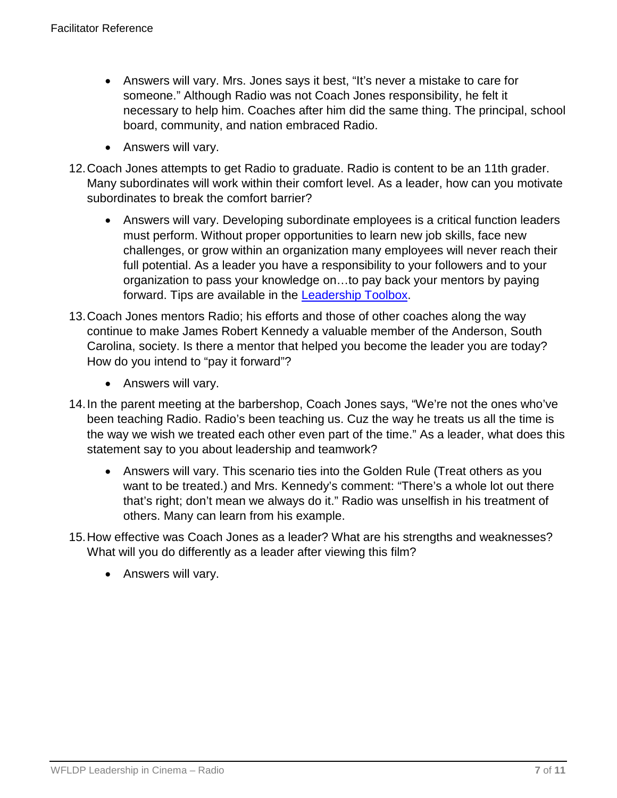- Answers will vary. Mrs. Jones says it best, "It's never a mistake to care for someone." Although Radio was not Coach Jones responsibility, he felt it necessary to help him. Coaches after him did the same thing. The principal, school board, community, and nation embraced Radio.
- Answers will vary.
- 12.Coach Jones attempts to get Radio to graduate. Radio is content to be an 11th grader. Many subordinates will work within their comfort level. As a leader, how can you motivate subordinates to break the comfort barrier?
	- Answers will vary. Developing subordinate employees is a critical function leaders must perform. Without proper opportunities to learn new job skills, face new challenges, or grow within an organization many employees will never reach their full potential. As a leader you have a responsibility to your followers and to your organization to pass your knowledge on…to pay back your mentors by paying forward. Tips are available in the [Leadership Toolbox.](https://www.fireleadership.gov/)
- 13.Coach Jones mentors Radio; his efforts and those of other coaches along the way continue to make James Robert Kennedy a valuable member of the Anderson, South Carolina, society. Is there a mentor that helped you become the leader you are today? How do you intend to "pay it forward"?
	- Answers will vary.
- 14.In the parent meeting at the barbershop, Coach Jones says, "We're not the ones who've been teaching Radio. Radio's been teaching us. Cuz the way he treats us all the time is the way we wish we treated each other even part of the time." As a leader, what does this statement say to you about leadership and teamwork?
	- Answers will vary. This scenario ties into the Golden Rule (Treat others as you want to be treated.) and Mrs. Kennedy's comment: "There's a whole lot out there that's right; don't mean we always do it." Radio was unselfish in his treatment of others. Many can learn from his example.
- 15.How effective was Coach Jones as a leader? What are his strengths and weaknesses? What will you do differently as a leader after viewing this film?
	- Answers will vary.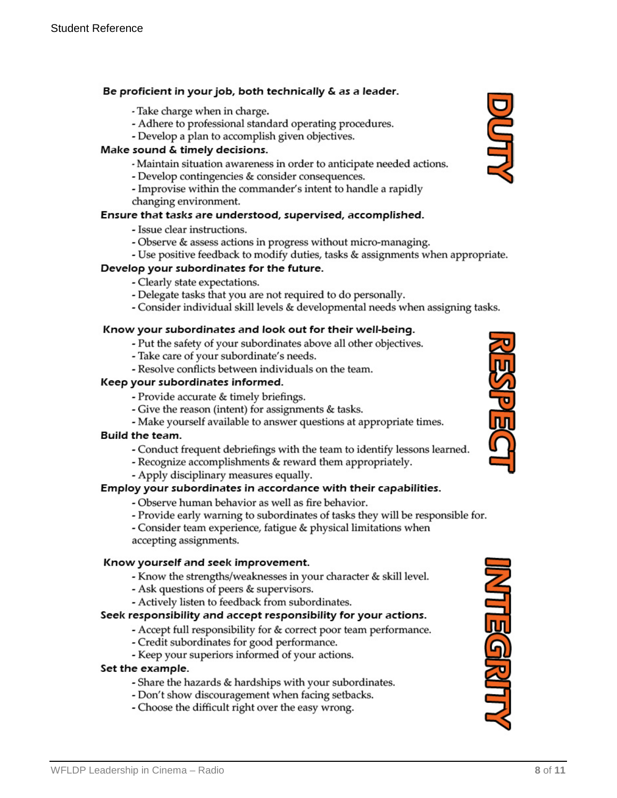#### Be proficient in your job, both technically & as a leader.

- Take charge when in charge.
- Adhere to professional standard operating procedures.
- Develop a plan to accomplish given objectives.

#### Make sound & timely decisions.

- Maintain situation awareness in order to anticipate needed actions.
- Develop contingencies & consider consequences.
- Improvise within the commander's intent to handle a rapidly changing environment.

#### Ensure that tasks are understood, supervised, accomplished.

- Issue clear instructions.
- Observe & assess actions in progress without micro-managing.
- Use positive feedback to modify duties, tasks & assignments when appropriate.

#### Develop your subordinates for the future.

- Clearly state expectations.
- Delegate tasks that you are not required to do personally.
- Consider individual skill levels & developmental needs when assigning tasks.

#### Know your subordinates and look out for their well-being.

- Put the safety of your subordinates above all other objectives.
- Take care of your subordinate's needs.
- Resolve conflicts between individuals on the team.

#### Keep your subordinates informed.

- Provide accurate & timely briefings.
- Give the reason (intent) for assignments & tasks.
- Make yourself available to answer questions at appropriate times.

#### Build the team.

- Conduct frequent debriefings with the team to identify lessons learned.
- Recognize accomplishments & reward them appropriately.
- Apply disciplinary measures equally.

#### Employ your subordinates in accordance with their capabilities.

- Observe human behavior as well as fire behavior.
- Provide early warning to subordinates of tasks they will be responsible for.

- Consider team experience, fatigue & physical limitations when accepting assignments.

#### Know yourself and seek improvement.

- Know the strengths/weaknesses in your character & skill level.
- Ask questions of peers & supervisors.
- Actively listen to feedback from subordinates.

#### Seek responsibility and accept responsibility for your actions.

- Accept full responsibility for & correct poor team performance.
- Credit subordinates for good performance.
- Keep your superiors informed of your actions.

#### Set the example.

- Share the hazards & hardships with your subordinates.
- Don't show discouragement when facing setbacks.
- Choose the difficult right over the easy wrong.



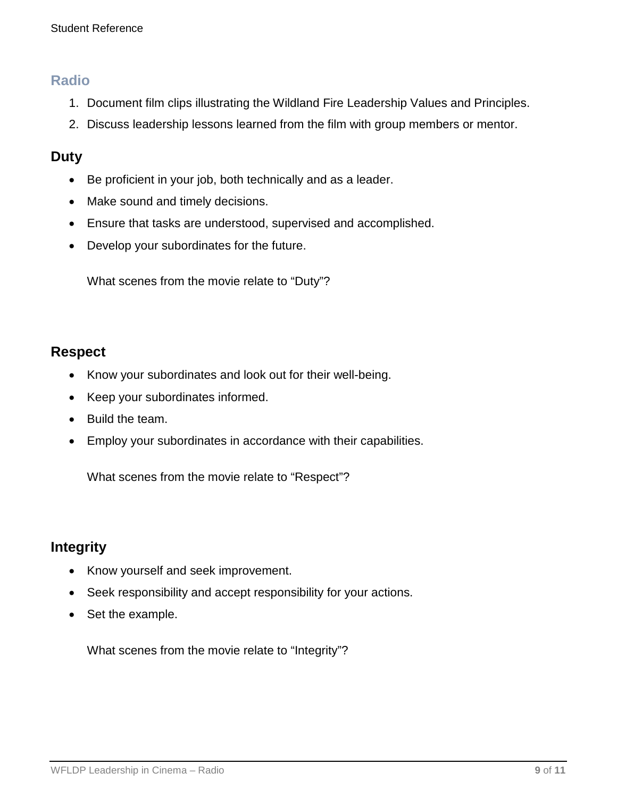### **Radio**

- 1. Document film clips illustrating the Wildland Fire Leadership Values and Principles.
- 2. Discuss leadership lessons learned from the film with group members or mentor.

### **Duty**

- Be proficient in your job, both technically and as a leader.
- Make sound and timely decisions.
- Ensure that tasks are understood, supervised and accomplished.
- Develop your subordinates for the future.

What scenes from the movie relate to "Duty"?

### **Respect**

- Know your subordinates and look out for their well-being.
- Keep your subordinates informed.
- Build the team.
- Employ your subordinates in accordance with their capabilities.

What scenes from the movie relate to "Respect"?

### **Integrity**

- Know yourself and seek improvement.
- Seek responsibility and accept responsibility for your actions.
- Set the example.

What scenes from the movie relate to "Integrity"?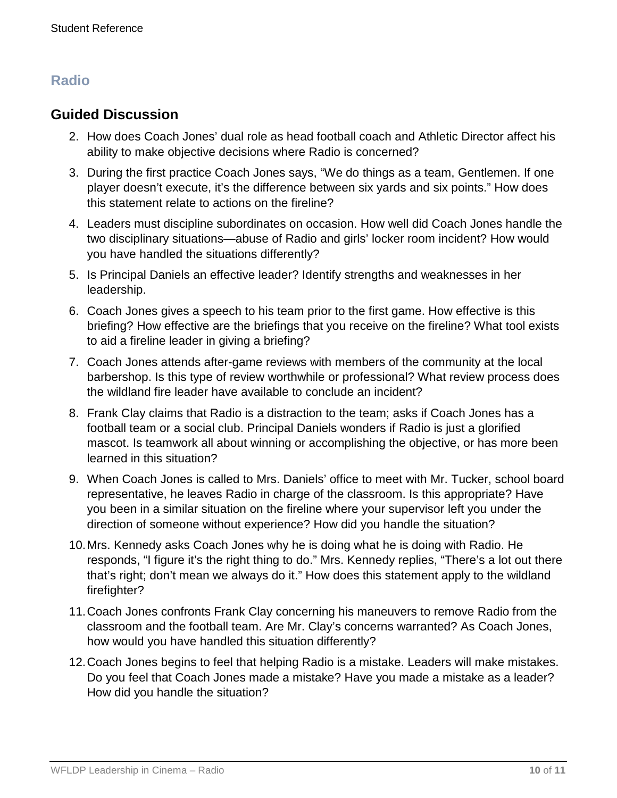# **Radio**

### **Guided Discussion**

- 2. How does Coach Jones' dual role as head football coach and Athletic Director affect his ability to make objective decisions where Radio is concerned?
- 3. During the first practice Coach Jones says, "We do things as a team, Gentlemen. If one player doesn't execute, it's the difference between six yards and six points." How does this statement relate to actions on the fireline?
- 4. Leaders must discipline subordinates on occasion. How well did Coach Jones handle the two disciplinary situations—abuse of Radio and girls' locker room incident? How would you have handled the situations differently?
- 5. Is Principal Daniels an effective leader? Identify strengths and weaknesses in her leadership.
- 6. Coach Jones gives a speech to his team prior to the first game. How effective is this briefing? How effective are the briefings that you receive on the fireline? What tool exists to aid a fireline leader in giving a briefing?
- 7. Coach Jones attends after-game reviews with members of the community at the local barbershop. Is this type of review worthwhile or professional? What review process does the wildland fire leader have available to conclude an incident?
- 8. Frank Clay claims that Radio is a distraction to the team; asks if Coach Jones has a football team or a social club. Principal Daniels wonders if Radio is just a glorified mascot. Is teamwork all about winning or accomplishing the objective, or has more been learned in this situation?
- 9. When Coach Jones is called to Mrs. Daniels' office to meet with Mr. Tucker, school board representative, he leaves Radio in charge of the classroom. Is this appropriate? Have you been in a similar situation on the fireline where your supervisor left you under the direction of someone without experience? How did you handle the situation?
- 10.Mrs. Kennedy asks Coach Jones why he is doing what he is doing with Radio. He responds, "I figure it's the right thing to do." Mrs. Kennedy replies, "There's a lot out there that's right; don't mean we always do it." How does this statement apply to the wildland firefighter?
- 11.Coach Jones confronts Frank Clay concerning his maneuvers to remove Radio from the classroom and the football team. Are Mr. Clay's concerns warranted? As Coach Jones, how would you have handled this situation differently?
- 12.Coach Jones begins to feel that helping Radio is a mistake. Leaders will make mistakes. Do you feel that Coach Jones made a mistake? Have you made a mistake as a leader? How did you handle the situation?